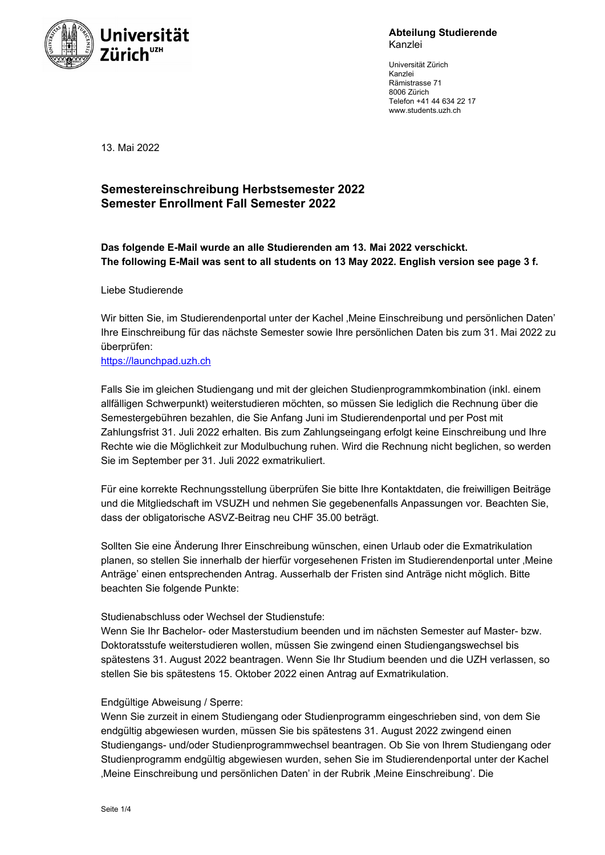

**Abteilung Studierende** Kanzlei

Universität Zürich Kanzlei Rämistrasse 71 8006 Zürich Telefon +41 44 634 22 17 www.students.uzh.ch

13. Mai 2022

# **Semestereinschreibung Herbstsemester 2022 Semester Enrollment Fall Semester 2022**

**Das folgende E-Mail wurde an alle Studierenden am 13. Mai 2022 verschickt. The following E-Mail was sent to all students on 13 May 2022. English version see page 3 f.** 

Liebe Studierende

Wir bitten Sie, im Studierendenportal unter der Kachel 'Meine Einschreibung und persönlichen Daten' Ihre Einschreibung für das nächste Semester sowie Ihre persönlichen Daten bis zum 31. Mai 2022 zu überprüfen:

https://launchpad.uzh.ch

Falls Sie im gleichen Studiengang und mit der gleichen Studienprogrammkombination (inkl. einem allfälligen Schwerpunkt) weiterstudieren möchten, so müssen Sie lediglich die Rechnung über die Semestergebühren bezahlen, die Sie Anfang Juni im Studierendenportal und per Post mit Zahlungsfrist 31. Juli 2022 erhalten. Bis zum Zahlungseingang erfolgt keine Einschreibung und Ihre Rechte wie die Möglichkeit zur Modulbuchung ruhen. Wird die Rechnung nicht beglichen, so werden Sie im September per 31. Juli 2022 exmatrikuliert.

Für eine korrekte Rechnungsstellung überprüfen Sie bitte Ihre Kontaktdaten, die freiwilligen Beiträge und die Mitgliedschaft im VSUZH und nehmen Sie gegebenenfalls Anpassungen vor. Beachten Sie, dass der obligatorische ASVZ-Beitrag neu CHF 35.00 beträgt.

Sollten Sie eine Änderung Ihrer Einschreibung wünschen, einen Urlaub oder die Exmatrikulation planen, so stellen Sie innerhalb der hierfür vorgesehenen Fristen im Studierendenportal unter ,Meine Anträge' einen entsprechenden Antrag. Ausserhalb der Fristen sind Anträge nicht möglich. Bitte beachten Sie folgende Punkte:

### Studienabschluss oder Wechsel der Studienstufe:

Wenn Sie Ihr Bachelor- oder Masterstudium beenden und im nächsten Semester auf Master- bzw. Doktoratsstufe weiterstudieren wollen, müssen Sie zwingend einen Studiengangswechsel bis spätestens 31. August 2022 beantragen. Wenn Sie Ihr Studium beenden und die UZH verlassen, so stellen Sie bis spätestens 15. Oktober 2022 einen Antrag auf Exmatrikulation.

#### Endgültige Abweisung / Sperre:

Wenn Sie zurzeit in einem Studiengang oder Studienprogramm eingeschrieben sind, von dem Sie endgültig abgewiesen wurden, müssen Sie bis spätestens 31. August 2022 zwingend einen Studiengangs- und/oder Studienprogrammwechsel beantragen. Ob Sie von Ihrem Studiengang oder Studienprogramm endgültig abgewiesen wurden, sehen Sie im Studierendenportal unter der Kachel 'Meine Einschreibung und persönlichen Daten' in der Rubrik 'Meine Einschreibung'. Die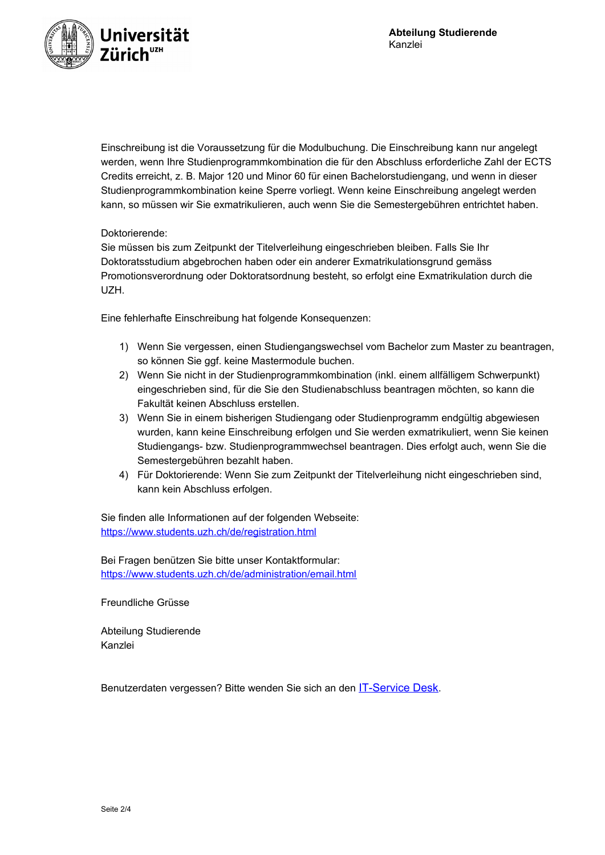

Einschreibung ist die Voraussetzung für die Modulbuchung. Die Einschreibung kann nur angelegt werden, wenn Ihre Studienprogrammkombination die für den Abschluss erforderliche Zahl der ECTS Credits erreicht, z. B. Major 120 und Minor 60 für einen Bachelorstudiengang, und wenn in dieser Studienprogrammkombination keine Sperre vorliegt. Wenn keine Einschreibung angelegt werden kann, so müssen wir Sie exmatrikulieren, auch wenn Sie die Semestergebühren entrichtet haben.

## Doktorierende:

Sie müssen bis zum Zeitpunkt der Titelverleihung eingeschrieben bleiben. Falls Sie Ihr Doktoratsstudium abgebrochen haben oder ein anderer Exmatrikulationsgrund gemäss Promotionsverordnung oder Doktoratsordnung besteht, so erfolgt eine Exmatrikulation durch die UZH.

Eine fehlerhafte Einschreibung hat folgende Konsequenzen:

- 1) Wenn Sie vergessen, einen Studiengangswechsel vom Bachelor zum Master zu beantragen, so können Sie ggf. keine Mastermodule buchen.
- 2) Wenn Sie nicht in der Studienprogrammkombination (inkl. einem allfälligem Schwerpunkt) eingeschrieben sind, für die Sie den Studienabschluss beantragen möchten, so kann die Fakultät keinen Abschluss erstellen.
- 3) Wenn Sie in einem bisherigen Studiengang oder Studienprogramm endgültig abgewiesen wurden, kann keine Einschreibung erfolgen und Sie werden exmatrikuliert, wenn Sie keinen Studiengangs- bzw. Studienprogrammwechsel beantragen. Dies erfolgt auch, wenn Sie die Semestergebühren bezahlt haben.
- 4) Für Doktorierende: Wenn Sie zum Zeitpunkt der Titelverleihung nicht eingeschrieben sind, kann kein Abschluss erfolgen.

Sie finden alle Informationen auf der folgenden Webseite: <https://www.students.uzh.ch/de/registration.html>

Bei Fragen benützen Sie bitte unser Kontaktformular: <https://www.students.uzh.ch/de/administration/email.html>

Freundliche Grüsse

Abteilung Studierende Kanzlei

Benutzerdaten vergessen? Bitte wenden Sie sich an den **[IT-Service Desk](http://www.zi.uzh.ch/de/support.html).**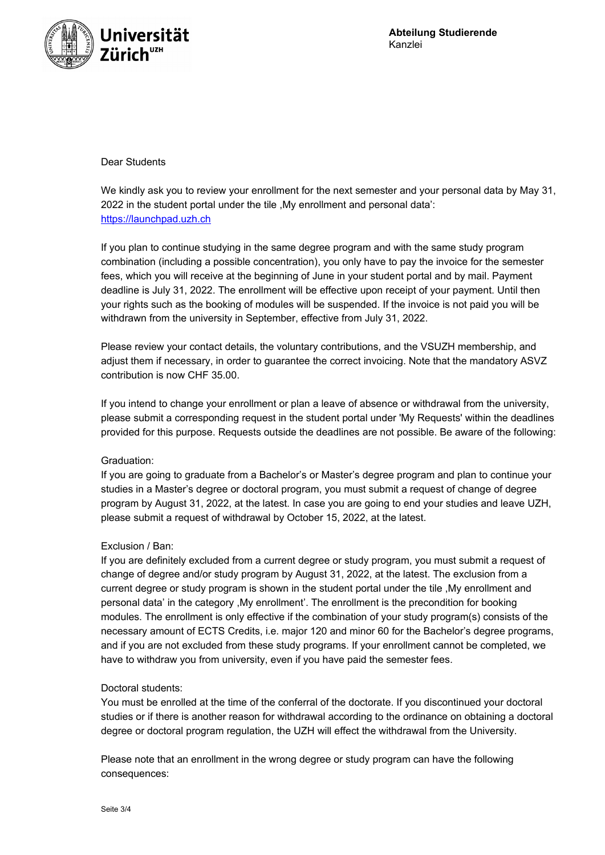

## Dear Students

We kindly ask you to review your enrollment for the next semester and your personal data by May 31, 2022 in the student portal under the tile ,My enrollment and personal data': [https://launchpad.uzh.ch](https://launchpad.uzh.ch/)

If you plan to continue studying in the same degree program and with the same study program combination (including a possible concentration), you only have to pay the invoice for the semester fees, which you will receive at the beginning of June in your student portal and by mail. Payment deadline is July 31, 2022. The enrollment will be effective upon receipt of your payment. Until then your rights such as the booking of modules will be suspended. If the invoice is not paid you will be withdrawn from the university in September, effective from July 31, 2022.

Please review your contact details, the voluntary contributions, and the VSUZH membership, and adjust them if necessary, in order to guarantee the correct invoicing. Note that the mandatory ASVZ contribution is now CHF 35.00.

If you intend to change your enrollment or plan a leave of absence or withdrawal from the university, please submit a corresponding request in the student portal under 'My Requests' within the deadlines provided for this purpose. Requests outside the deadlines are not possible. Be aware of the following:

#### Graduation:

If you are going to graduate from a Bachelor's or Master's degree program and plan to continue your studies in a Master's degree or doctoral program, you must submit a request of change of degree program by August 31, 2022, at the latest. In case you are going to end your studies and leave UZH, please submit a request of withdrawal by October 15, 2022, at the latest.

## Exclusion / Ban:

If you are definitely excluded from a current degree or study program, you must submit a request of change of degree and/or study program by August 31, 2022, at the latest. The exclusion from a current degree or study program is shown in the student portal under the tile ,My enrollment and personal data' in the category ,My enrollment'. The enrollment is the precondition for booking modules. The enrollment is only effective if the combination of your study program(s) consists of the necessary amount of ECTS Credits, i.e. major 120 and minor 60 for the Bachelor's degree programs, and if you are not excluded from these study programs. If your enrollment cannot be completed, we have to withdraw you from university, even if you have paid the semester fees.

#### Doctoral students:

You must be enrolled at the time of the conferral of the doctorate. If you discontinued your doctoral studies or if there is another reason for withdrawal according to the ordinance on obtaining a doctoral degree or doctoral program regulation, the UZH will effect the withdrawal from the University.

Please note that an enrollment in the wrong degree or study program can have the following consequences: